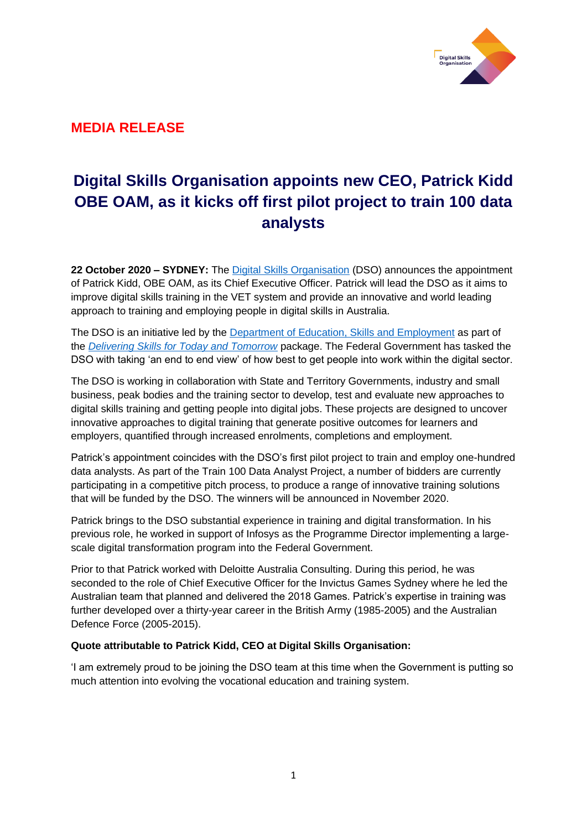

# **MEDIA RELEASE**

# **Digital Skills Organisation appoints new CEO, Patrick Kidd OBE OAM, as it kicks off first pilot project to train 100 data analysts**

**22 October 2020 – SYDNEY:** The [Digital Skills Organisation](http://www.digitalskillsorg.com.au/) (DSO) announces the appointment of Patrick Kidd, OBE OAM, as its Chief Executive Officer. Patrick will lead the DSO as it aims to improve digital skills training in the VET system and provide an innovative and world leading approach to training and employing people in digital skills in Australia.

The DSO is an initiative led by the [Department of Education, Skills and Employment](https://www.employment.gov.au/) as part of the *[Delivering Skills for Today and Tomorrow](https://www.employment.gov.au/delivering-skills-today-and-tomorrow)* package. The Federal Government has tasked the DSO with taking 'an end to end view' of how best to get people into work within the digital sector.

The DSO is working in collaboration with State and Territory Governments, industry and small business, peak bodies and the training sector to develop, test and evaluate new approaches to digital skills training and getting people into digital jobs. These projects are designed to uncover innovative approaches to digital training that generate positive outcomes for learners and employers, quantified through increased enrolments, completions and employment.

Patrick's appointment coincides with the DSO's first pilot project to train and employ one-hundred data analysts. As part of the Train 100 Data Analyst Project, a number of bidders are currently participating in a competitive pitch process, to produce a range of innovative training solutions that will be funded by the DSO. The winners will be announced in November 2020.

Patrick brings to the DSO substantial experience in training and digital transformation. In his previous role, he worked in support of Infosys as the Programme Director implementing a largescale digital transformation program into the Federal Government.

Prior to that Patrick worked with Deloitte Australia Consulting. During this period, he was seconded to the role of Chief Executive Officer for the Invictus Games Sydney where he led the Australian team that planned and delivered the 2018 Games. Patrick's expertise in training was further developed over a thirty-year career in the British Army (1985-2005) and the Australian Defence Force (2005-2015).

## **Quote attributable to Patrick Kidd, CEO at Digital Skills Organisation:**

'I am extremely proud to be joining the DSO team at this time when the Government is putting so much attention into evolving the vocational education and training system.